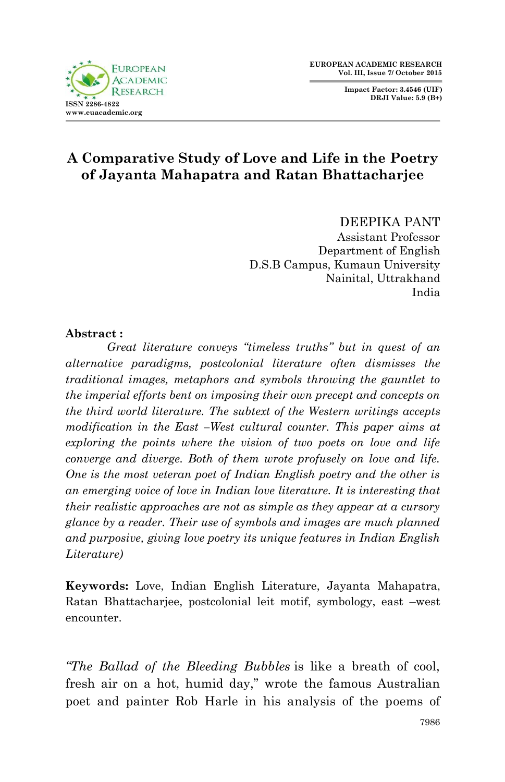**Impact Factor: 3.4546 (UIF) DRJI Value: 5.9 (B+)**



# **A Comparative Study of Love and Life in the Poetry of Jayanta Mahapatra and Ratan Bhattacharjee**

DEEPIKA PANT Assistant Professor Department of English D.S.B Campus, Kumaun University Nainital, Uttrakhand India

#### **Abstract :**

*Great literature conveys "timeless truths" but in quest of an alternative paradigms, postcolonial literature often dismisses the traditional images, metaphors and symbols throwing the gauntlet to the imperial efforts bent on imposing their own precept and concepts on the third world literature. The subtext of the Western writings accepts modification in the East –West cultural counter. This paper aims at exploring the points where the vision of two poets on love and life converge and diverge. Both of them wrote profusely on love and life. One is the most veteran poet of Indian English poetry and the other is an emerging voice of love in Indian love literature. It is interesting that their realistic approaches are not as simple as they appear at a cursory glance by a reader. Their use of symbols and images are much planned and purposive, giving love poetry its unique features in Indian English Literature)*

**Keywords:** Love, Indian English Literature, Jayanta Mahapatra, Ratan Bhattacharjee, postcolonial leit motif, symbology, east –west encounter.

*"The Ballad of the Bleeding Bubbles* is like a breath of cool, fresh air on a hot, humid day," wrote the famous Australian poet and painter Rob Harle in his analysis of the poems of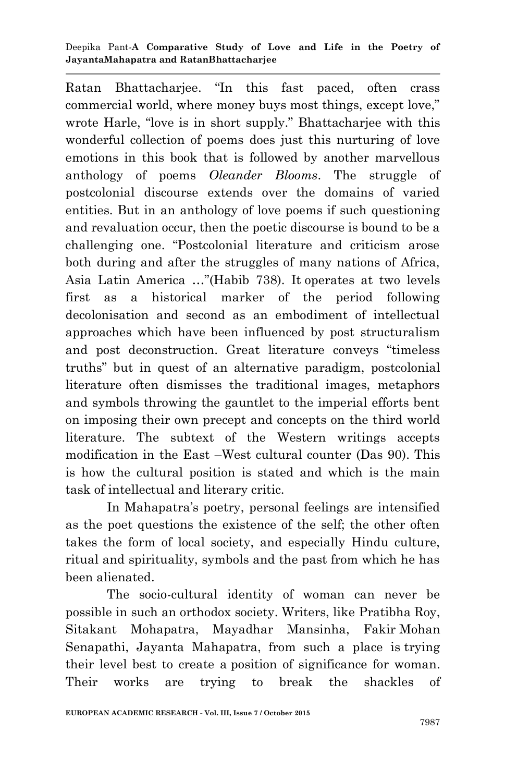#### Deepika Pant*-***A Comparative Study of Love and Life in the Poetry of JayantaMahapatra and RatanBhattacharjee**

Ratan Bhattacharjee. "In this fast paced, often crass commercial world, where money buys most things, except love," wrote Harle, "love is in short supply." Bhattacharjee with this wonderful collection of poems does just this nurturing of love emotions in this book that is followed by another marvellous anthology of poems *Oleander Blooms*. The struggle of postcolonial discourse extends over the domains of varied entities. But in an anthology of love poems if such questioning and revaluation occur, then the poetic discourse is bound to be a challenging one. "Postcolonial literature and criticism arose both during and after the struggles of many nations of Africa, Asia Latin America …"(Habib 738). It operates at two levels first as a historical marker of the period following decolonisation and second as an embodiment of intellectual approaches which have been influenced by post structuralism and post deconstruction. Great literature conveys "timeless truths" but in quest of an alternative paradigm, postcolonial literature often dismisses the traditional images, metaphors and symbols throwing the gauntlet to the imperial efforts bent on imposing their own precept and concepts on the third world literature. The subtext of the Western writings accepts modification in the East –West cultural counter (Das 90). This is how the cultural position is stated and which is the main task of intellectual and literary critic.

In Mahapatra"s poetry, personal feelings are intensified as the poet questions the existence of the self; the other often takes the form of local society, and especially Hindu culture, ritual and spirituality, symbols and the past from which he has been alienated.

The socio-cultural identity of woman can never be possible in such an orthodox society. Writers, like Pratibha Roy, Sitakant Mohapatra, Mayadhar Mansinha, Fakir Mohan Senapathi, Jayanta Mahapatra, from such a place is trying their level best to create a position of significance for woman. Their works are trying to break the shackles of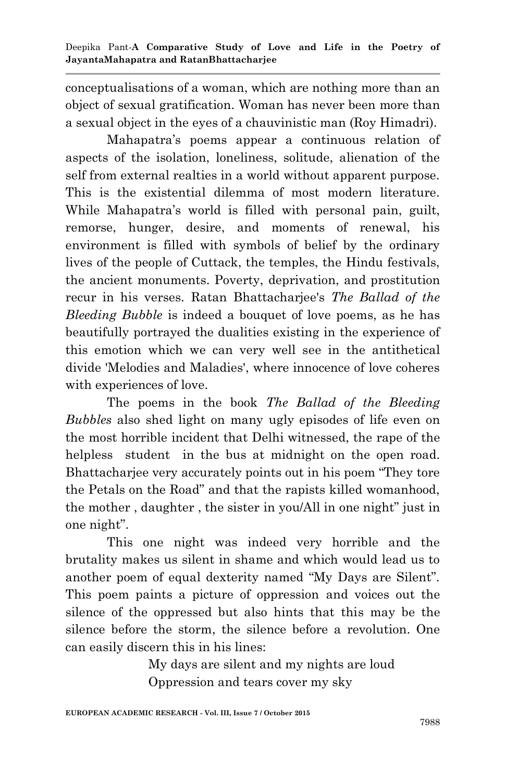conceptualisations of a woman, which are nothing more than an object of sexual gratification. Woman has never been more than a sexual object in the eyes of a chauvinistic man (Roy Himadri).

Mahapatra"s poems appear a continuous relation of aspects of the isolation, loneliness, solitude, alienation of the self from external realties in a world without apparent purpose. This is the existential dilemma of most modern literature. While Mahapatra's world is filled with personal pain, guilt, remorse, hunger, desire, and moments of renewal, his environment is filled with symbols of belief by the ordinary lives of the people of Cuttack, the temples, the Hindu festivals, the ancient monuments. Poverty, deprivation, and prostitution recur in his verses. Ratan Bhattacharjee's *The Ballad of the Bleeding Bubble* is indeed a bouquet of love poems, as he has beautifully portrayed the dualities existing in the experience of this emotion which we can very well see in the antithetical divide 'Melodies and Maladies', where innocence of love coheres with experiences of love.

The poems in the book *The Ballad of the Bleeding Bubbles* also shed light on many ugly episodes of life even on the most horrible incident that Delhi witnessed, the rape of the helpless student in the bus at midnight on the open road. Bhattacharjee very accurately points out in his poem "They tore the Petals on the Road" and that the rapists killed womanhood, the mother , daughter , the sister in you/All in one night" just in one night".

This one night was indeed very horrible and the brutality makes us silent in shame and which would lead us to another poem of equal dexterity named "My Days are Silent". This poem paints a picture of oppression and voices out the silence of the oppressed but also hints that this may be the silence before the storm, the silence before a revolution. One can easily discern this in his lines:

> My days are silent and my nights are loud Oppression and tears cover my sky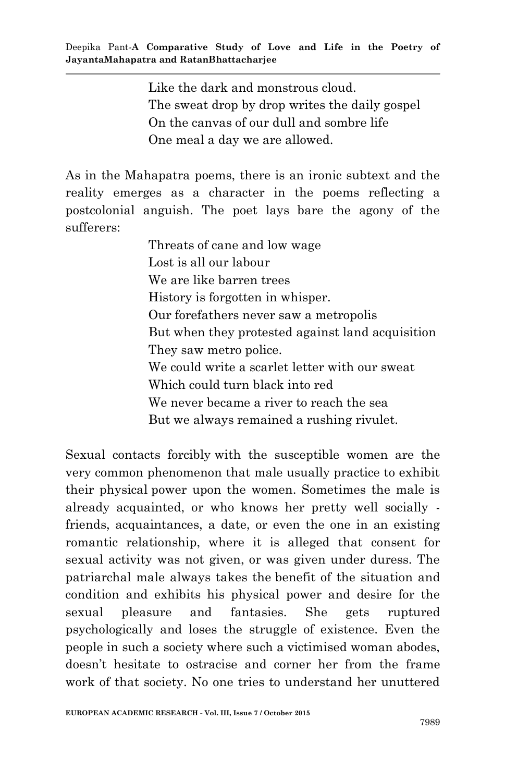Like the dark and monstrous cloud. The sweat drop by drop writes the daily gospel On the canvas of our dull and sombre life One meal a day we are allowed.

As in the Mahapatra poems, there is an ironic subtext and the reality emerges as a character in the poems reflecting a postcolonial anguish. The poet lays bare the agony of the sufferers:

> Threats of cane and low wage Lost is all our labour We are like barren trees History is forgotten in whisper. Our forefathers never saw a metropolis But when they protested against land acquisition They saw metro police. We could write a scarlet letter with our sweat Which could turn black into red We never became a river to reach the sea But we always remained a rushing rivulet.

Sexual contacts forcibly with the susceptible women are the very common phenomenon that male usually practice to exhibit their physical power upon the women. Sometimes the male is already acquainted, or who knows her pretty well socially friends, acquaintances, a date, or even the one in an existing romantic relationship, where it is alleged that consent for sexual activity was not given, or was given under duress. The patriarchal male always takes the benefit of the situation and condition and exhibits his physical power and desire for the sexual pleasure and fantasies. She gets ruptured psychologically and loses the struggle of existence. Even the people in such a society where such a victimised woman abodes, doesn"t hesitate to ostracise and corner her from the frame work of that society. No one tries to understand her unuttered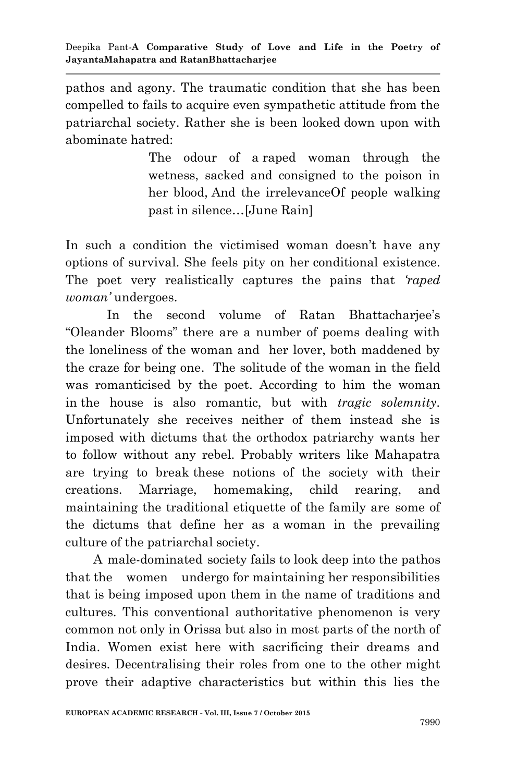pathos and agony. The traumatic condition that she has been compelled to fails to acquire even sympathetic attitude from the patriarchal society. Rather she is been looked down upon with abominate hatred:

> The odour of a raped woman through the wetness, sacked and consigned to the poison in her blood, And the irrelevanceOf people walking past in silence…[June Rain]

In such a condition the victimised woman doesn't have any options of survival. She feels pity on her conditional existence. The poet very realistically captures the pains that *"raped woman"* undergoes.

In the second volume of Ratan Bhattacharjee's "Oleander Blooms" there are a number of poems dealing with the loneliness of the woman and her lover, both maddened by the craze for being one. The solitude of the woman in the field was romanticised by the poet. According to him the woman in the house is also romantic, but with *tragic solemnity.* Unfortunately she receives neither of them instead she is imposed with dictums that the orthodox patriarchy wants her to follow without any rebel. Probably writers like Mahapatra are trying to break these notions of the society with their creations. Marriage, homemaking, child rearing, and maintaining the traditional etiquette of the family are some of the dictums that define her as a woman in the prevailing culture of the patriarchal society.

 A male-dominated society fails to look deep into the pathos that the women undergo for maintaining her responsibilities that is being imposed upon them in the name of traditions and cultures. This conventional authoritative phenomenon is very common not only in Orissa but also in most parts of the north of India. Women exist here with sacrificing their dreams and desires. Decentralising their roles from one to the other might prove their adaptive characteristics but within this lies the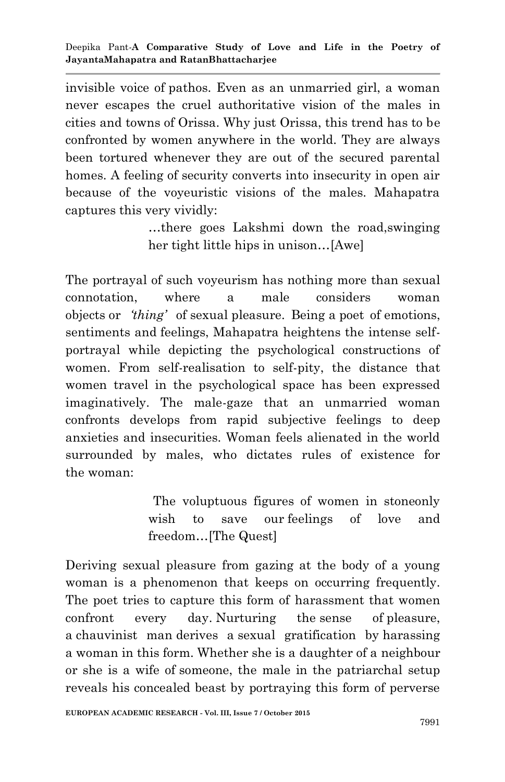invisible voice of pathos. Even as an unmarried girl, a woman never escapes the cruel authoritative vision of the males in cities and towns of Orissa. Why just Orissa, this trend has to be confronted by women anywhere in the world. They are always been tortured whenever they are out of the secured parental homes. A feeling of security converts into insecurity in open air because of the voyeuristic visions of the males. Mahapatra captures this very vividly:

> …there goes Lakshmi down the road,swinging her tight little hips in unison…[Awe]

The portrayal of such voyeurism has nothing more than sexual connotation, where a male considers woman objects or *"thing"* of sexual pleasure. Being a poet of emotions, sentiments and feelings, Mahapatra heightens the intense selfportrayal while depicting the psychological constructions of women. From self-realisation to self-pity, the distance that women travel in the psychological space has been expressed imaginatively. The male-gaze that an unmarried woman confronts develops from rapid subjective feelings to deep anxieties and insecurities. Woman feels alienated in the world surrounded by males, who dictates rules of existence for the woman:

> The voluptuous figures of women in stoneonly wish to save our feelings of love and freedom…[The Quest]

Deriving sexual pleasure from gazing at the body of a young woman is a phenomenon that keeps on occurring frequently. The poet tries to capture this form of harassment that women confront every day. Nurturing the sense of pleasure, a chauvinist man derives a sexual gratification by harassing a woman in this form. Whether she is a daughter of a neighbour or she is a wife of someone, the male in the patriarchal setup reveals his concealed beast by portraying this form of perverse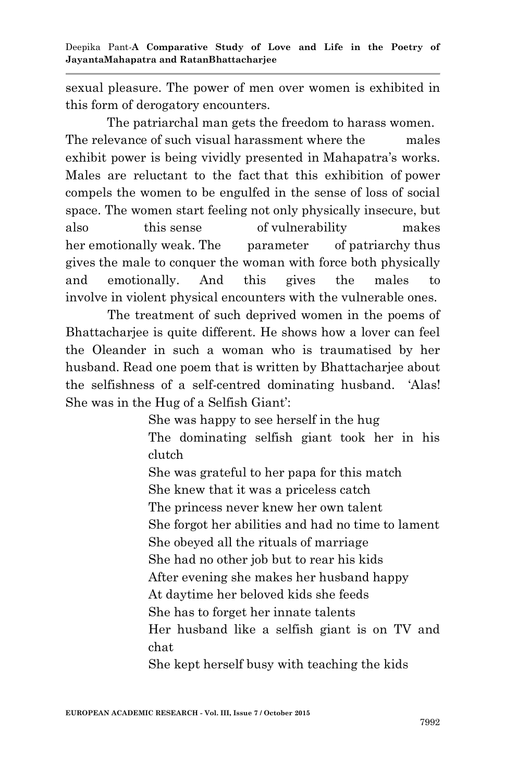sexual pleasure. The power of men over women is exhibited in this form of derogatory encounters.

The patriarchal man gets the freedom to harass women. The relevance of such visual harassment where the males exhibit power is being vividly presented in Mahapatra's works. Males are reluctant to the fact that this exhibition of power compels the women to be engulfed in the sense of loss of social space. The women start feeling not only physically insecure, but also this sense of vulnerability makes her emotionally weak. The parameter of patriarchy thus gives the male to conquer the woman with force both physically and emotionally. And this gives the males to involve in violent physical encounters with the vulnerable ones.

 The treatment of such deprived women in the poems of Bhattacharjee is quite different. He shows how a lover can feel the Oleander in such a woman who is traumatised by her husband. Read one poem that is written by Bhattacharjee about the selfishness of a self-centred dominating husband. "Alas! She was in the Hug of a Selfish Giant':

> She was happy to see herself in the hug The dominating selfish giant took her in his clutch She was grateful to her papa for this match She knew that it was a priceless catch The princess never knew her own talent She forgot her abilities and had no time to lament She obeyed all the rituals of marriage She had no other job but to rear his kids After evening she makes her husband happy At daytime her beloved kids she feeds She has to forget her innate talents Her husband like a selfish giant is on TV and chat

She kept herself busy with teaching the kids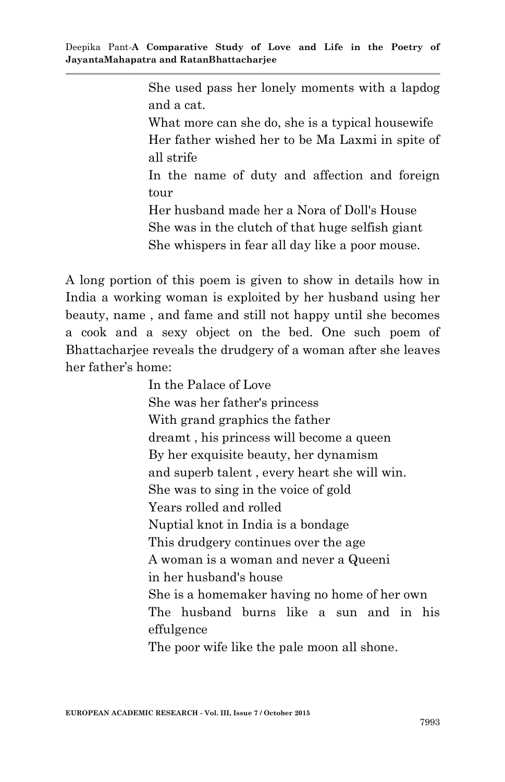She used pass her lonely moments with a lapdog and a cat.

What more can she do, she is a typical housewife Her father wished her to be Ma Laxmi in spite of all strife

In the name of duty and affection and foreign tour

Her husband made her a Nora of Doll's House She was in the clutch of that huge selfish giant She whispers in fear all day like a poor mouse.

A long portion of this poem is given to show in details how in India a working woman is exploited by her husband using her beauty, name , and fame and still not happy until she becomes a cook and a sexy object on the bed. One such poem of Bhattacharjee reveals the drudgery of a woman after she leaves her father"s home:

> In the Palace of Love She was her father's princess With grand graphics the father dreamt , his princess will become a queen By her exquisite beauty, her dynamism and superb talent , every heart she will win. She was to sing in the voice of gold Years rolled and rolled Nuptial knot in India is a bondage This drudgery continues over the age A woman is a woman and never a Queeni in her husband's house She is a homemaker having no home of her own The husband burns like a sun and in his effulgence The poor wife like the pale moon all shone.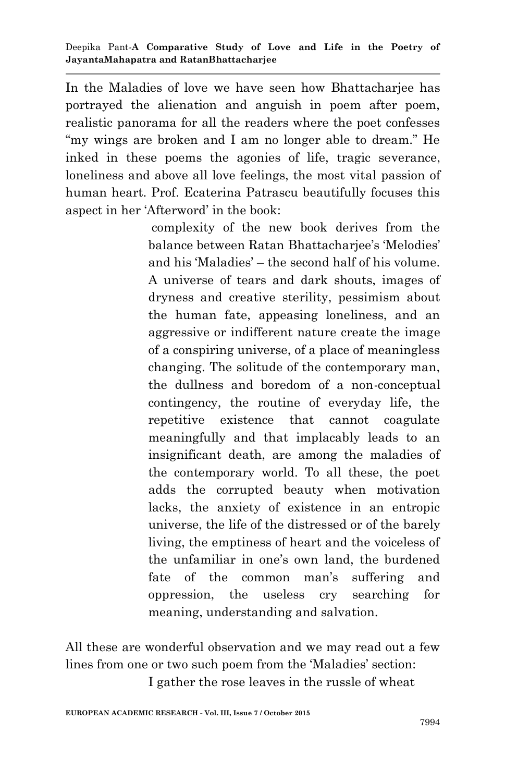In the Maladies of love we have seen how Bhattacharjee has portrayed the alienation and anguish in poem after poem, realistic panorama for all the readers where the poet confesses "my wings are broken and I am no longer able to dream." He inked in these poems the agonies of life, tragic severance, loneliness and above all love feelings, the most vital passion of human heart. Prof. Ecaterina Patrascu beautifully focuses this aspect in her "Afterword" in the book:

> complexity of the new book derives from the balance between Ratan Bhattacharjee's 'Melodies' and his "Maladies" – the second half of his volume. A universe of tears and dark shouts, images of dryness and creative sterility, pessimism about the human fate, appeasing loneliness, and an aggressive or indifferent nature create the image of a conspiring universe, of a place of meaningless changing. The solitude of the contemporary man, the dullness and boredom of a non-conceptual contingency, the routine of everyday life, the repetitive existence that cannot coagulate meaningfully and that implacably leads to an insignificant death, are among the maladies of the contemporary world. To all these, the poet adds the corrupted beauty when motivation lacks, the anxiety of existence in an entropic universe, the life of the distressed or of the barely living, the emptiness of heart and the voiceless of the unfamiliar in one"s own land, the burdened fate of the common man's suffering and oppression, the useless cry searching for meaning, understanding and salvation.

All these are wonderful observation and we may read out a few lines from one or two such poem from the 'Maladies' section: I gather the rose leaves in the russle of wheat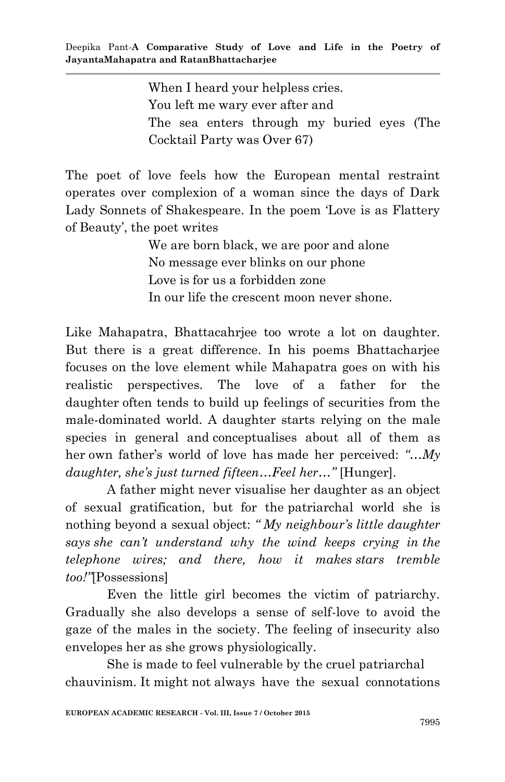When I heard your helpless cries. You left me wary ever after and The sea enters through my buried eyes (The Cocktail Party was Over 67)

The poet of love feels how the European mental restraint operates over complexion of a woman since the days of Dark Lady Sonnets of Shakespeare. In the poem "Love is as Flattery of Beauty", the poet writes

> We are born black, we are poor and alone No message ever blinks on our phone Love is for us a forbidden zone In our life the crescent moon never shone.

Like Mahapatra, Bhattacahrjee too wrote a lot on daughter. But there is a great difference. In his poems Bhattacharjee focuses on the love element while Mahapatra goes on with his realistic perspectives. The love of a father for the daughter often tends to build up feelings of securities from the male-dominated world. A daughter starts relying on the male species in general and conceptualises about all of them as her own father's world of love has made her perceived: "...My *daughter, she"s just turned fifteen…Feel her…"* [Hunger].

A father might never visualise her daughter as an object of sexual gratification, but for the patriarchal world she is nothing beyond a sexual object: *" My neighbour"s little daughter says she can"t understand why the wind keeps crying in the telephone wires; and there, how it makes stars tremble too!"*[Possessions]

Even the little girl becomes the victim of patriarchy. Gradually she also develops a sense of self-love to avoid the gaze of the males in the society. The feeling of insecurity also envelopes her as she grows physiologically.

She is made to feel vulnerable by the cruel patriarchal chauvinism. It might not always have the sexual connotations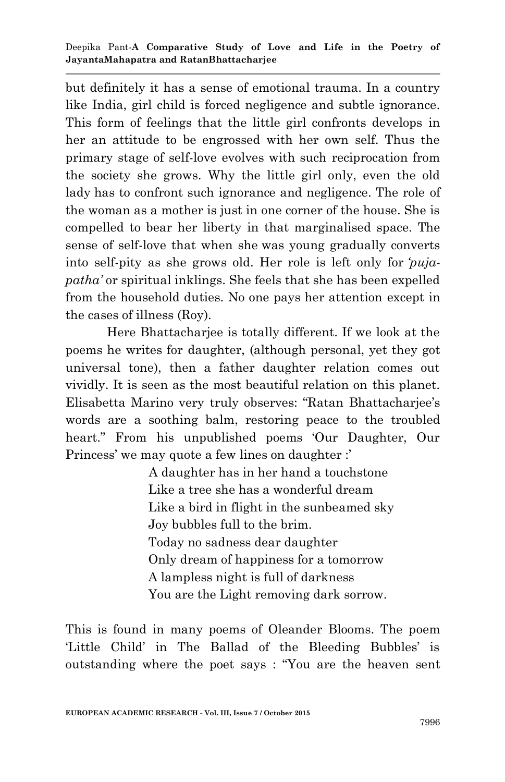but definitely it has a sense of emotional trauma. In a country like India, girl child is forced negligence and subtle ignorance. This form of feelings that the little girl confronts develops in her an attitude to be engrossed with her own self. Thus the primary stage of self-love evolves with such reciprocation from the society she grows. Why the little girl only, even the old lady has to confront such ignorance and negligence. The role of the woman as a mother is just in one corner of the house. She is compelled to bear her liberty in that marginalised space. The sense of self-love that when she was young gradually converts into self-pity as she grows old. Her role is left only for *"pujapatha"* or spiritual inklings. She feels that she has been expelled from the household duties. No one pays her attention except in the cases of illness (Roy).

Here Bhattacharjee is totally different. If we look at the poems he writes for daughter, (although personal, yet they got universal tone), then a father daughter relation comes out vividly. It is seen as the most beautiful relation on this planet. Elisabetta Marino very truly observes: "Ratan Bhattacharjee"s words are a soothing balm, restoring peace to the troubled heart." From his unpublished poems "Our Daughter, Our Princess' we may quote a few lines on daughter :'

> A daughter has in her hand a touchstone Like a tree she has a wonderful dream Like a bird in flight in the sunbeamed sky Joy bubbles full to the brim. Today no sadness dear daughter Only dream of happiness for a tomorrow A lampless night is full of darkness You are the Light removing dark sorrow.

This is found in many poems of Oleander Blooms. The poem 'Little Child' in The Ballad of the Bleeding Bubbles' is outstanding where the poet says : "You are the heaven sent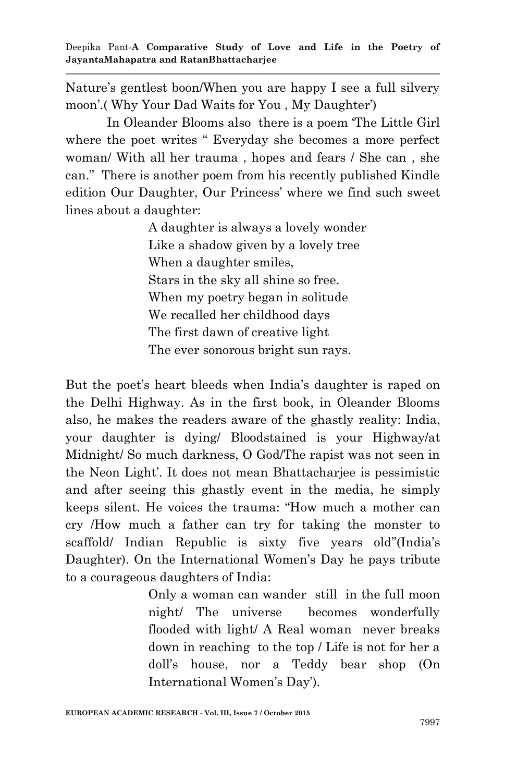Nature's gentlest boon/When you are happy I see a full silvery moon".( Why Your Dad Waits for You , My Daughter")

In Oleander Blooms also there is a poem "The Little Girl where the poet writes " Everyday she becomes a more perfect woman/ With all her trauma , hopes and fears / She can , she can." There is another poem from his recently published Kindle edition Our Daughter, Our Princess" where we find such sweet lines about a daughter:

> A daughter is always a lovely wonder Like a shadow given by a lovely tree When a daughter smiles, Stars in the sky all shine so free. When my poetry began in solitude We recalled her childhood days The first dawn of creative light The ever sonorous bright sun rays.

But the poet's heart bleeds when India's daughter is raped on the Delhi Highway. As in the first book, in Oleander Blooms also, he makes the readers aware of the ghastly reality: India, your daughter is dying/ Bloodstained is your Highway/at Midnight/ So much darkness, O God/The rapist was not seen in the Neon Light". It does not mean Bhattacharjee is pessimistic and after seeing this ghastly event in the media, he simply keeps silent. He voices the trauma: "How much a mother can cry /How much a father can try for taking the monster to scaffold/ Indian Republic is sixty five years old"(India's Daughter). On the International Women's Day he pays tribute to a courageous daughters of India:

> Only a woman can wander still in the full moon night/ The universe becomes wonderfully flooded with light/ A Real woman never breaks down in reaching to the top / Life is not for her a doll"s house, nor a Teddy bear shop (On International Women"s Day").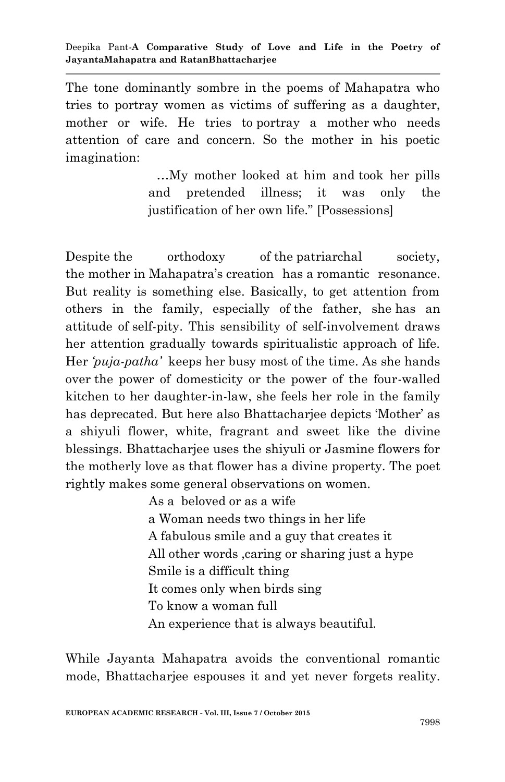The tone dominantly sombre in the poems of Mahapatra who tries to portray women as victims of suffering as a daughter, mother or wife. He tries to portray a mother who needs attention of care and concern. So the mother in his poetic imagination:

> …My mother looked at him and took her pills and pretended illness; it was only the justification of her own life." [Possessions]

Despite the orthodoxy of the patriarchal society, the mother in Mahapatra"s creation has a romantic resonance. But reality is something else. Basically, to get attention from others in the family, especially of the father, she has an attitude of self-pity. This sensibility of self-involvement draws her attention gradually towards spiritualistic approach of life. Her *"puja-patha"* keeps her busy most of the time. As she hands over the power of domesticity or the power of the four-walled kitchen to her daughter-in-law, she feels her role in the family has deprecated. But here also Bhattacharjee depicts 'Mother' as a shiyuli flower, white, fragrant and sweet like the divine blessings. Bhattacharjee uses the shiyuli or Jasmine flowers for the motherly love as that flower has a divine property. The poet rightly makes some general observations on women.

> As a beloved or as a wife a Woman needs two things in her life A fabulous smile and a guy that creates it All other words ,caring or sharing just a hype Smile is a difficult thing It comes only when birds sing To know a woman full An experience that is always beautiful.

While Jayanta Mahapatra avoids the conventional romantic mode, Bhattacharjee espouses it and yet never forgets reality.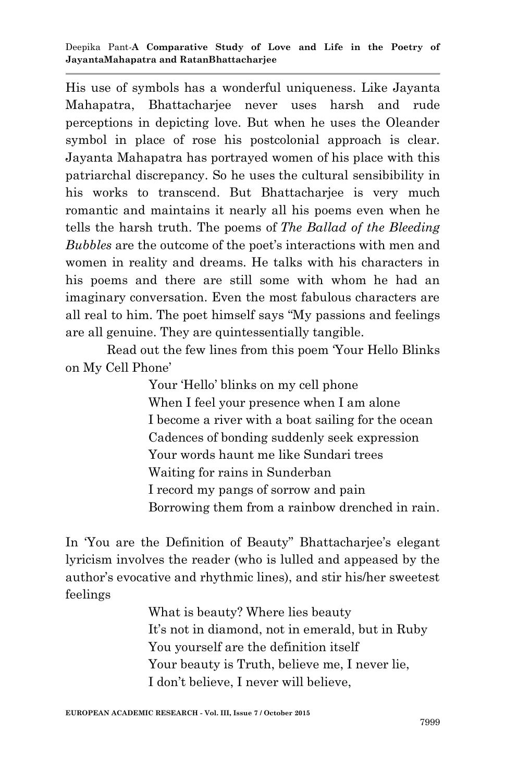His use of symbols has a wonderful uniqueness. Like Jayanta Mahapatra, Bhattacharjee never uses harsh and rude perceptions in depicting love. But when he uses the Oleander symbol in place of rose his postcolonial approach is clear. Jayanta Mahapatra has portrayed women of his place with this patriarchal discrepancy. So he uses the cultural sensibibility in his works to transcend. But Bhattacharjee is very much romantic and maintains it nearly all his poems even when he tells the harsh truth. The poems of *The Ballad of the Bleeding Bubbles* are the outcome of the poet's interactions with men and women in reality and dreams. He talks with his characters in his poems and there are still some with whom he had an imaginary conversation. Even the most fabulous characters are all real to him. The poet himself says "My passions and feelings are all genuine. They are quintessentially tangible.

Read out the few lines from this poem "Your Hello Blinks on My Cell Phone"

> Your "Hello" blinks on my cell phone When I feel your presence when I am alone I become a river with a boat sailing for the ocean Cadences of bonding suddenly seek expression Your words haunt me like Sundari trees Waiting for rains in Sunderban I record my pangs of sorrow and pain Borrowing them from a rainbow drenched in rain.

In 'You are the Definition of Beauty'' Bhattacharjee's elegant lyricism involves the reader (who is lulled and appeased by the author"s evocative and rhythmic lines), and stir his/her sweetest feelings

> What is beauty? Where lies beauty It's not in diamond, not in emerald, but in Ruby You yourself are the definition itself Your beauty is Truth, believe me, I never lie, I don"t believe, I never will believe,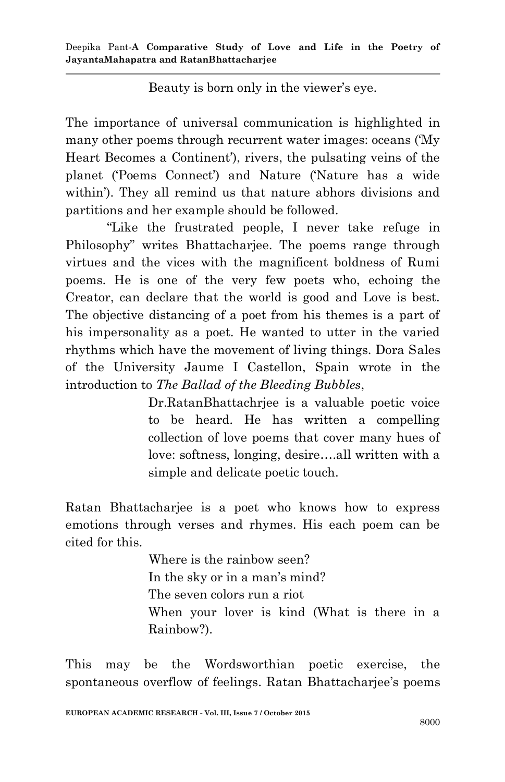Deepika Pant*-***A Comparative Study of Love and Life in the Poetry of JayantaMahapatra and RatanBhattacharjee**

Beauty is born only in the viewer's eye.

The importance of universal communication is highlighted in many other poems through recurrent water images: oceans ("My Heart Becomes a Continent"), rivers, the pulsating veins of the planet ("Poems Connect") and Nature ("Nature has a wide within'). They all remind us that nature abhors divisions and partitions and her example should be followed.

"Like the frustrated people, I never take refuge in Philosophy" writes Bhattacharjee. The poems range through virtues and the vices with the magnificent boldness of Rumi poems. He is one of the very few poets who, echoing the Creator, can declare that the world is good and Love is best. The objective distancing of a poet from his themes is a part of his impersonality as a poet. He wanted to utter in the varied rhythms which have the movement of living things. Dora Sales of the University Jaume I Castellon, Spain wrote in the introduction to *The Ballad of the Bleeding Bubbles*,

> Dr.RatanBhattachrjee is a valuable poetic voice to be heard. He has written a compelling collection of love poems that cover many hues of love: softness, longing, desire….all written with a simple and delicate poetic touch.

Ratan Bhattacharjee is a poet who knows how to express emotions through verses and rhymes. His each poem can be cited for this.

> Where is the rainbow seen? In the sky or in a man's mind? The seven colors run a riot When your lover is kind (What is there in a Rainbow?).

This may be the Wordsworthian poetic exercise, the spontaneous overflow of feelings. Ratan Bhattacharjee's poems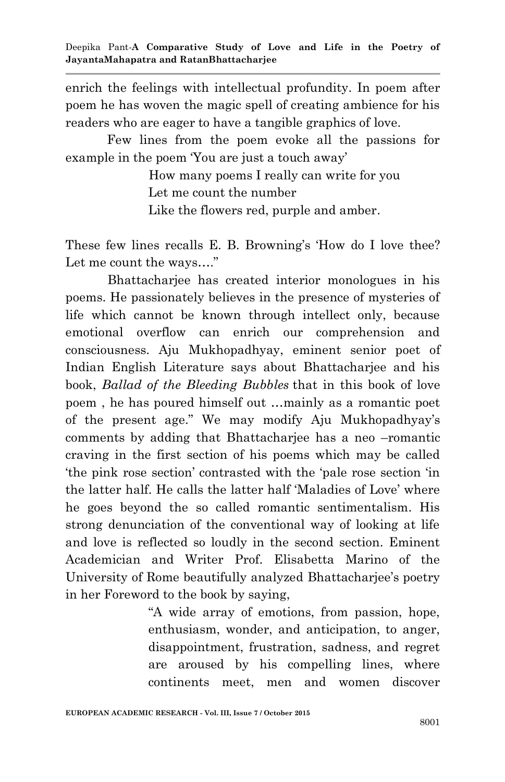enrich the feelings with intellectual profundity. In poem after poem he has woven the magic spell of creating ambience for his readers who are eager to have a tangible graphics of love.

Few lines from the poem evoke all the passions for example in the poem 'You are just a touch away'

> How many poems I really can write for you Let me count the number

Like the flowers red, purple and amber.

These few lines recalls E. B. Browning's 'How do I love thee? Let me count the ways…."

 Bhattacharjee has created interior monologues in his poems. He passionately believes in the presence of mysteries of life which cannot be known through intellect only, because emotional overflow can enrich our comprehension and consciousness. Aju Mukhopadhyay, eminent senior poet of Indian English Literature says about Bhattacharjee and his book, *Ballad of the Bleeding Bubbles* that in this book of love poem , he has poured himself out …mainly as a romantic poet of the present age." We may modify Aju Mukhopadhyay"s comments by adding that Bhattacharjee has a neo –romantic craving in the first section of his poems which may be called "the pink rose section" contrasted with the "pale rose section "in the latter half. He calls the latter half "Maladies of Love" where he goes beyond the so called romantic sentimentalism. His strong denunciation of the conventional way of looking at life and love is reflected so loudly in the second section. Eminent Academician and Writer Prof. Elisabetta Marino of the University of Rome beautifully analyzed Bhattacharjee's poetry in her Foreword to the book by saying,

> "A wide array of emotions, from passion, hope, enthusiasm, wonder, and anticipation, to anger, disappointment, frustration, sadness, and regret are aroused by his compelling lines, where continents meet, men and women discover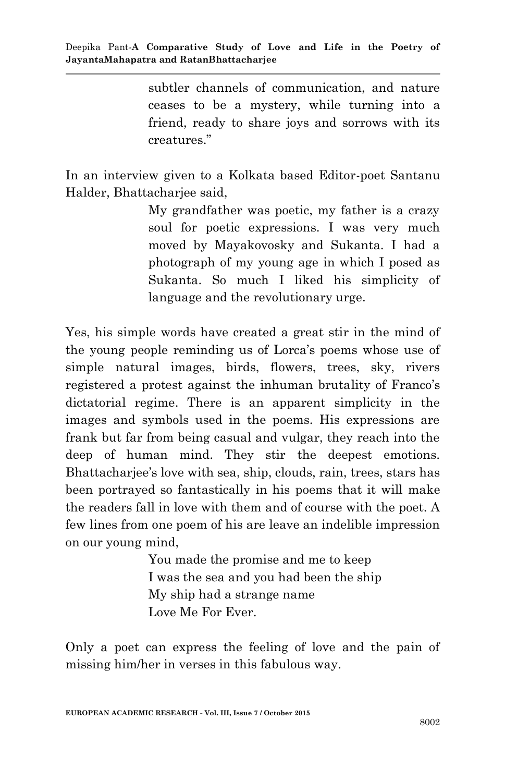subtler channels of communication, and nature ceases to be a mystery, while turning into a friend, ready to share joys and sorrows with its creatures."

In an interview given to a Kolkata based Editor-poet Santanu Halder, Bhattacharjee said,

> My grandfather was poetic, my father is a crazy soul for poetic expressions. I was very much moved by Mayakovosky and Sukanta. I had a photograph of my young age in which I posed as Sukanta. So much I liked his simplicity of language and the revolutionary urge.

Yes, his simple words have created a great stir in the mind of the young people reminding us of Lorca"s poems whose use of simple natural images, birds, flowers, trees, sky, rivers registered a protest against the inhuman brutality of Franco's dictatorial regime. There is an apparent simplicity in the images and symbols used in the poems. His expressions are frank but far from being casual and vulgar, they reach into the deep of human mind. They stir the deepest emotions. Bhattacharjee's love with sea, ship, clouds, rain, trees, stars has been portrayed so fantastically in his poems that it will make the readers fall in love with them and of course with the poet. A few lines from one poem of his are leave an indelible impression on our young mind,

> You made the promise and me to keep I was the sea and you had been the ship My ship had a strange name Love Me For Ever.

Only a poet can express the feeling of love and the pain of missing him/her in verses in this fabulous way.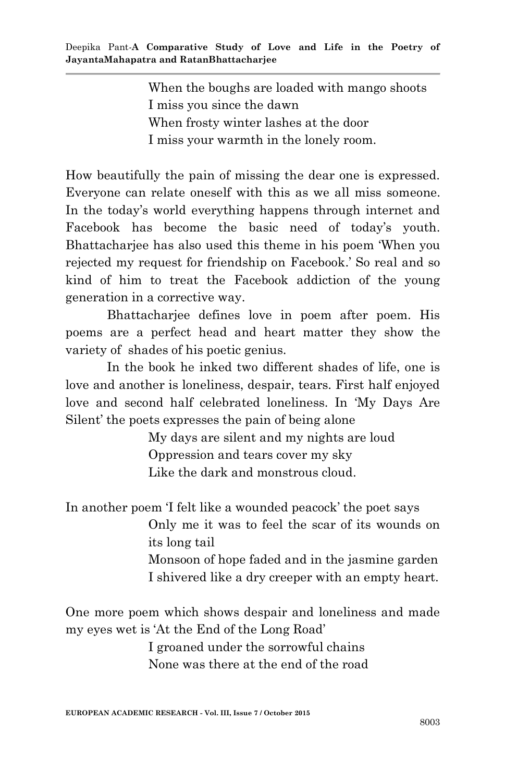When the boughs are loaded with mango shoots I miss you since the dawn When frosty winter lashes at the door I miss your warmth in the lonely room.

How beautifully the pain of missing the dear one is expressed. Everyone can relate oneself with this as we all miss someone. In the today's world everything happens through internet and Facebook has become the basic need of today's youth. Bhattacharjee has also used this theme in his poem "When you rejected my request for friendship on Facebook." So real and so kind of him to treat the Facebook addiction of the young generation in a corrective way.

Bhattacharjee defines love in poem after poem. His poems are a perfect head and heart matter they show the variety of shades of his poetic genius.

In the book he inked two different shades of life, one is love and another is loneliness, despair, tears. First half enjoyed love and second half celebrated loneliness. In "My Days Are Silent" the poets expresses the pain of being alone

> My days are silent and my nights are loud Oppression and tears cover my sky Like the dark and monstrous cloud.

In another poem 'I felt like a wounded peacock' the poet says

Only me it was to feel the scar of its wounds on its long tail

Monsoon of hope faded and in the jasmine garden I shivered like a dry creeper with an empty heart.

One more poem which shows despair and loneliness and made my eyes wet is "At the End of the Long Road"

> I groaned under the sorrowful chains None was there at the end of the road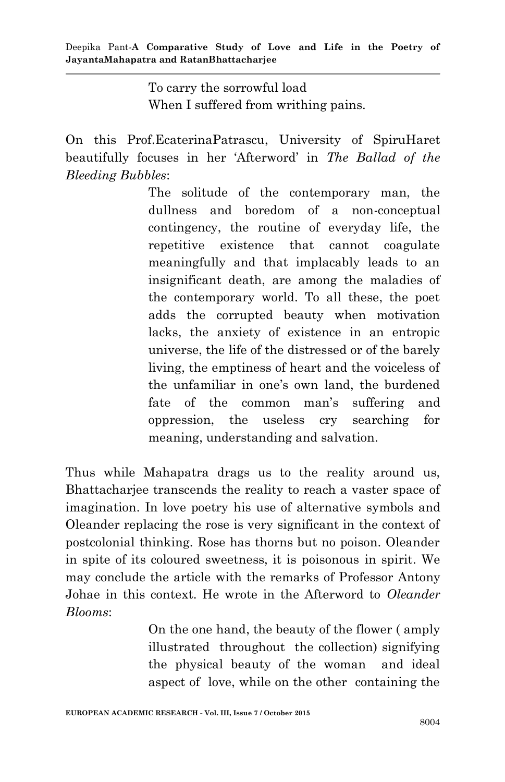To carry the sorrowful load When I suffered from writhing pains.

On this Prof.EcaterinaPatrascu, University of SpiruHaret beautifully focuses in her "Afterword" in *The Ballad of the Bleeding Bubbles*:

> The solitude of the contemporary man, the dullness and boredom of a non-conceptual contingency, the routine of everyday life, the repetitive existence that cannot coagulate meaningfully and that implacably leads to an insignificant death, are among the maladies of the contemporary world. To all these, the poet adds the corrupted beauty when motivation lacks, the anxiety of existence in an entropic universe, the life of the distressed or of the barely living, the emptiness of heart and the voiceless of the unfamiliar in one's own land, the burdened fate of the common man's suffering and oppression, the useless cry searching for meaning, understanding and salvation.

Thus while Mahapatra drags us to the reality around us, Bhattacharjee transcends the reality to reach a vaster space of imagination. In love poetry his use of alternative symbols and Oleander replacing the rose is very significant in the context of postcolonial thinking. Rose has thorns but no poison. Oleander in spite of its coloured sweetness, it is poisonous in spirit. We may conclude the article with the remarks of Professor Antony Johae in this context. He wrote in the Afterword to *Oleander Blooms*:

> On the one hand, the beauty of the flower ( amply illustrated throughout the collection) signifying the physical beauty of the woman and ideal aspect of love, while on the other containing the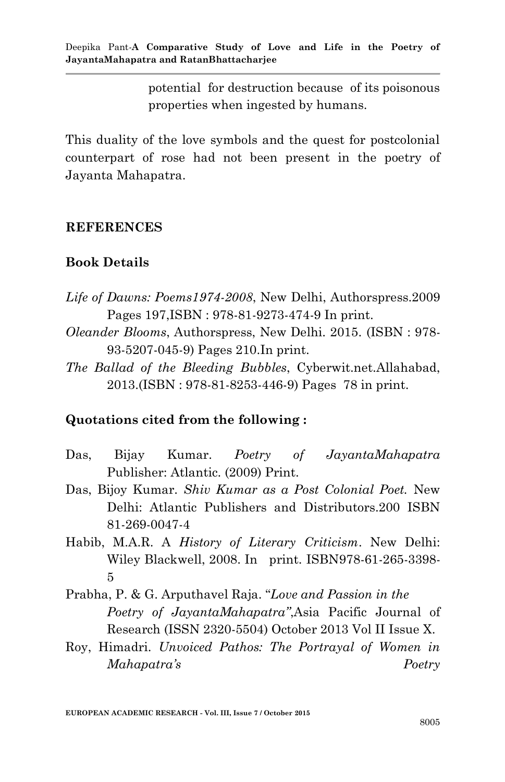potential for destruction because of its poisonous properties when ingested by humans.

This duality of the love symbols and the quest for postcolonial counterpart of rose had not been present in the poetry of Jayanta Mahapatra.

#### **REFERENCES**

#### **Book Details**

- *Life of Dawns: Poems1974-2008*, New Delhi, Authorspress.2009 Pages 197,ISBN : 978-81-9273-474-9 In print.
- *Oleander Blooms*, Authorspress, New Delhi. 2015. (ISBN : 978- 93-5207-045-9) Pages 210.In print.
- *The Ballad of the Bleeding Bubbles*, Cyberwit.net.Allahabad, 2013.(ISBN : 978-81-8253-446-9) Pages 78 in print.

## **Quotations cited from the following :**

- Das, Bijay Kumar. *Poetry of JayantaMahapatra* Publisher: Atlantic. (2009) Print.
- Das, Bijoy Kumar. *Shiv Kumar as a Post Colonial Poet.* New Delhi: Atlantic Publishers and Distributors.200 ISBN 81-269-0047-4
- Habib, M.A.R. A *History of Literary Criticism*. New Delhi: Wiley Blackwell, 2008. In print. ISBN978-61-265-3398- 5
- Prabha, P. & G. Arputhavel Raja. "*Love and Passion in the Poetry of JayantaMahapatra"*,Asia Pacific Journal of Research (ISSN 2320-5504) October 2013 Vol II Issue X.
- Roy, Himadri. *Unvoiced Pathos: The Portrayal of Women in Mahapatra"s Poetry*